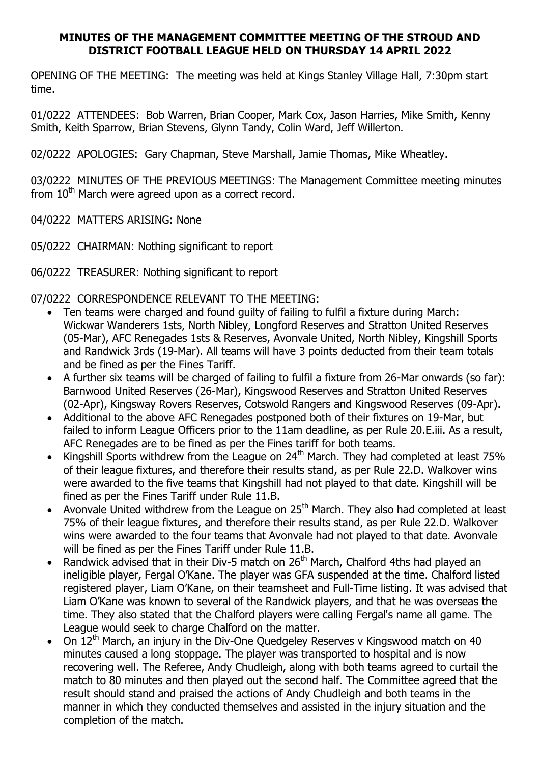### MINUTES OF THE MANAGEMENT COMMITTEE MEETING OF THE STROUD AND DISTRICT FOOTBALL LEAGUE HELD ON THURSDAY 14 APRIL 2022

OPENING OF THE MEETING: The meeting was held at Kings Stanley Village Hall, 7:30pm start time.

01/0222 ATTENDEES: Bob Warren, Brian Cooper, Mark Cox, Jason Harries, Mike Smith, Kenny Smith, Keith Sparrow, Brian Stevens, Glynn Tandy, Colin Ward, Jeff Willerton.

02/0222 APOLOGIES: Gary Chapman, Steve Marshall, Jamie Thomas, Mike Wheatley.

03/0222 MINUTES OF THE PREVIOUS MEETINGS: The Management Committee meeting minutes from  $10<sup>th</sup>$  March were agreed upon as a correct record.

04/0222 MATTERS ARISING: None

05/0222 CHAIRMAN: Nothing significant to report

06/0222 TREASURER: Nothing significant to report

07/0222 CORRESPONDENCE RELEVANT TO THE MEETING:

- Ten teams were charged and found guilty of failing to fulfil a fixture during March: Wickwar Wanderers 1sts, North Nibley, Longford Reserves and Stratton United Reserves (05-Mar), AFC Renegades 1sts & Reserves, Avonvale United, North Nibley, Kingshill Sports and Randwick 3rds (19-Mar). All teams will have 3 points deducted from their team totals and be fined as per the Fines Tariff.
- A further six teams will be charged of failing to fulfil a fixture from 26-Mar onwards (so far): Barnwood United Reserves (26-Mar), Kingswood Reserves and Stratton United Reserves (02-Apr), Kingsway Rovers Reserves, Cotswold Rangers and Kingswood Reserves (09-Apr).
- Additional to the above AFC Renegades postponed both of their fixtures on 19-Mar, but failed to inform League Officers prior to the 11am deadline, as per Rule 20.E.iii. As a result, AFC Renegades are to be fined as per the Fines tariff for both teams.
- Kingshill Sports withdrew from the League on  $24^{th}$  March. They had completed at least 75% of their league fixtures, and therefore their results stand, as per Rule 22.D. Walkover wins were awarded to the five teams that Kingshill had not played to that date. Kingshill will be fined as per the Fines Tariff under Rule 11.B.
- Avonvale United withdrew from the League on 25<sup>th</sup> March. They also had completed at least 75% of their league fixtures, and therefore their results stand, as per Rule 22.D. Walkover wins were awarded to the four teams that Avonvale had not played to that date. Avonvale will be fined as per the Fines Tariff under Rule 11.B.
- Randwick advised that in their Div-5 match on  $26<sup>th</sup>$  March, Chalford 4ths had played an ineligible player, Fergal O'Kane. The player was GFA suspended at the time. Chalford listed registered player, Liam O'Kane, on their teamsheet and Full-Time listing. It was advised that Liam O'Kane was known to several of the Randwick players, and that he was overseas the time. They also stated that the Chalford players were calling Fergal's name all game. The League would seek to charge Chalford on the matter.
- On  $12<sup>th</sup>$  March, an injury in the Div-One Quedgeley Reserves v Kingswood match on 40 minutes caused a long stoppage. The player was transported to hospital and is now recovering well. The Referee, Andy Chudleigh, along with both teams agreed to curtail the match to 80 minutes and then played out the second half. The Committee agreed that the result should stand and praised the actions of Andy Chudleigh and both teams in the manner in which they conducted themselves and assisted in the injury situation and the completion of the match.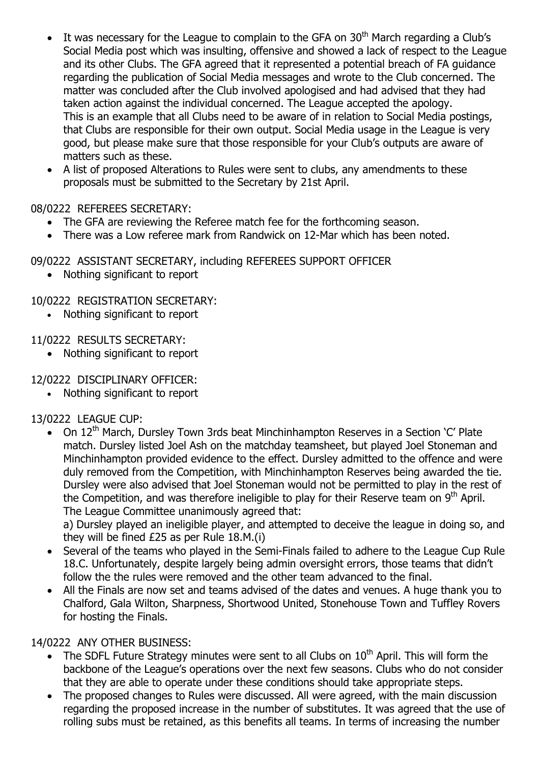- It was necessary for the League to complain to the GFA on  $30<sup>th</sup>$  March regarding a Club's Social Media post which was insulting, offensive and showed a lack of respect to the League and its other Clubs. The GFA agreed that it represented a potential breach of FA guidance regarding the publication of Social Media messages and wrote to the Club concerned. The matter was concluded after the Club involved apologised and had advised that they had taken action against the individual concerned. The League accepted the apology. This is an example that all Clubs need to be aware of in relation to Social Media postings, that Clubs are responsible for their own output. Social Media usage in the League is very good, but please make sure that those responsible for your Club's outputs are aware of matters such as these.
- A list of proposed Alterations to Rules were sent to clubs, any amendments to these proposals must be submitted to the Secretary by 21st April.

# 08/0222 REFEREES SECRETARY:

- The GFA are reviewing the Referee match fee for the forthcoming season.
- There was a Low referee mark from Randwick on 12-Mar which has been noted.

# 09/0222 ASSISTANT SECRETARY, including REFEREES SUPPORT OFFICER

• Nothing significant to report

# 10/0222 REGISTRATION SECRETARY:

Nothing significant to report

## 11/0222 RESULTS SECRETARY:

• Nothing significant to report

## 12/0222 DISCIPLINARY OFFICER:

Nothing significant to report

# 13/0222 LEAGUE CUP:

• On 12<sup>th</sup> March, Dursley Town 3rds beat Minchinhampton Reserves in a Section 'C' Plate match. Dursley listed Joel Ash on the matchday teamsheet, but played Joel Stoneman and Minchinhampton provided evidence to the effect. Dursley admitted to the offence and were duly removed from the Competition, with Minchinhampton Reserves being awarded the tie. Dursley were also advised that Joel Stoneman would not be permitted to play in the rest of the Competition, and was therefore ineligible to play for their Reserve team on  $9<sup>th</sup>$  April. The League Committee unanimously agreed that:

a) Dursley played an ineligible player, and attempted to deceive the league in doing so, and they will be fined £25 as per Rule 18.M.(i)

- Several of the teams who played in the Semi-Finals failed to adhere to the League Cup Rule 18.C. Unfortunately, despite largely being admin oversight errors, those teams that didn't follow the the rules were removed and the other team advanced to the final.
- All the Finals are now set and teams advised of the dates and venues. A huge thank you to Chalford, Gala Wilton, Sharpness, Shortwood United, Stonehouse Town and Tuffley Rovers for hosting the Finals.

# 14/0222 ANY OTHER BUSINESS:

- The SDFL Future Strategy minutes were sent to all Clubs on  $10<sup>th</sup>$  April. This will form the backbone of the League's operations over the next few seasons. Clubs who do not consider that they are able to operate under these conditions should take appropriate steps.
- The proposed changes to Rules were discussed. All were agreed, with the main discussion regarding the proposed increase in the number of substitutes. It was agreed that the use of rolling subs must be retained, as this benefits all teams. In terms of increasing the number